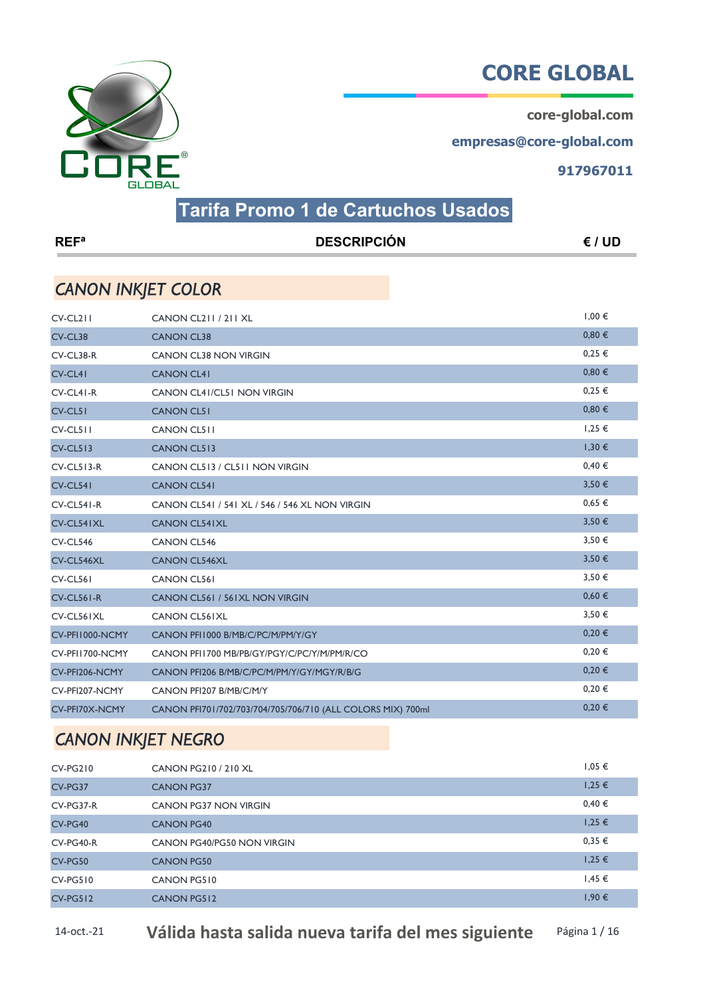core-global.com

empresas@core-global.com

917967011



## Tarifa Promo 1 de Cartuchos Usados

| <b>REF</b> <sup>a</sup>   | <b>DESCRIPCIÓN</b>                                          | E / UD     |
|---------------------------|-------------------------------------------------------------|------------|
| <b>CANON INKJET COLOR</b> |                                                             |            |
| $CV-CL211$                | CANON CL211 / 211 XL                                        | $1,00 \in$ |
| CV-CL38                   | <b>CANON CL38</b>                                           | 0,80€      |
| CV-CL38-R                 | <b>CANON CL38 NON VIRGIN</b>                                | $0,25 \in$ |
| CV-CL41                   | <b>CANON CL41</b>                                           | 0,80€      |
| CV-CL41-R                 | CANON CL41/CL51 NON VIRGIN                                  | $0,25 \in$ |
| CV-CL51                   | <b>CANON CL51</b>                                           | 0,80€      |
| $CV-CL511$                | <b>CANON CL511</b>                                          | $1,25 \in$ |
| <b>CV-CL513</b>           | <b>CANON CL513</b>                                          | $1,30 \in$ |
| $CV-CL513-R$              | CANON CL513 / CL511 NON VIRGIN                              | 0,40€      |
| CV-CL541                  | <b>CANON CL541</b>                                          | 3,50 €     |
| CV-CL541-R                | CANON CL541 / 541 XL / 546 / 546 XL NON VIRGIN              | $0.65 \in$ |
| CV-CL541XL                | <b>CANON CL541XL</b>                                        | 3,50€      |
| <b>CV-CL546</b>           | <b>CANON CL546</b>                                          | 3,50€      |
| CV-CL546XL                | <b>CANON CL546XL</b>                                        | 3,50€      |
| <b>CV-CL561</b>           | <b>CANON CL561</b>                                          | 3,50€      |
| $CV-CL561-R$              | CANON CL561 / 561XL NON VIRGIN                              | 0,60€      |
| CV-CL561XL                | <b>CANON CL561XL</b>                                        | 3,50 €     |
| CV-PFI1000-NCMY           | CANON PFI1000 B/MB/C/PC/M/PM/Y/GY                           | $0,20 \in$ |
| CV-PFI1700-NCMY           | CANON PFI1700 MB/PB/GY/PGY/C/PC/Y/M/PM/R/CO                 | $0,20 \in$ |
| CV-PFI206-NCMY            | CANON PFI206 B/MB/C/PC/M/PM/Y/GY/MGY/R/B/G                  | $0,20 \in$ |
| CV-PFI207-NCMY            | CANON PFI207 B/MB/C/M/Y                                     | 0,20€      |
| CV-PFI70X-NCMY            | CANON PFI701/702/703/704/705/706/710 (ALL COLORS MIX) 700ml | 0,20€      |

#### CANON INKJET NEGRO

| CV-PG210    | CANON PG210 / 210 XL       | $1,05 \in$ |
|-------------|----------------------------|------------|
| CV-PG37     | <b>CANON PG37</b>          | $1,25 \in$ |
| $CV-PG37-R$ | CANON PG37 NON VIRGIN      | 0,40€      |
| CV-PG40     | <b>CANON PG40</b>          | $1,25 \in$ |
| $CV-PG40-R$ | CANON PG40/PG50 NON VIRGIN | 0,35€      |
| CV-PG50     | <b>CANON PG50</b>          | $1,25 \in$ |
| $CV-PG510$  | CANON PG510                | $1,45 \in$ |
| $CV-PG512$  | <b>CANON PG512</b>         | 1,90 €     |

14-oct.-21 Válida hasta salida nueva tarifa del mes siguiente Página 1/16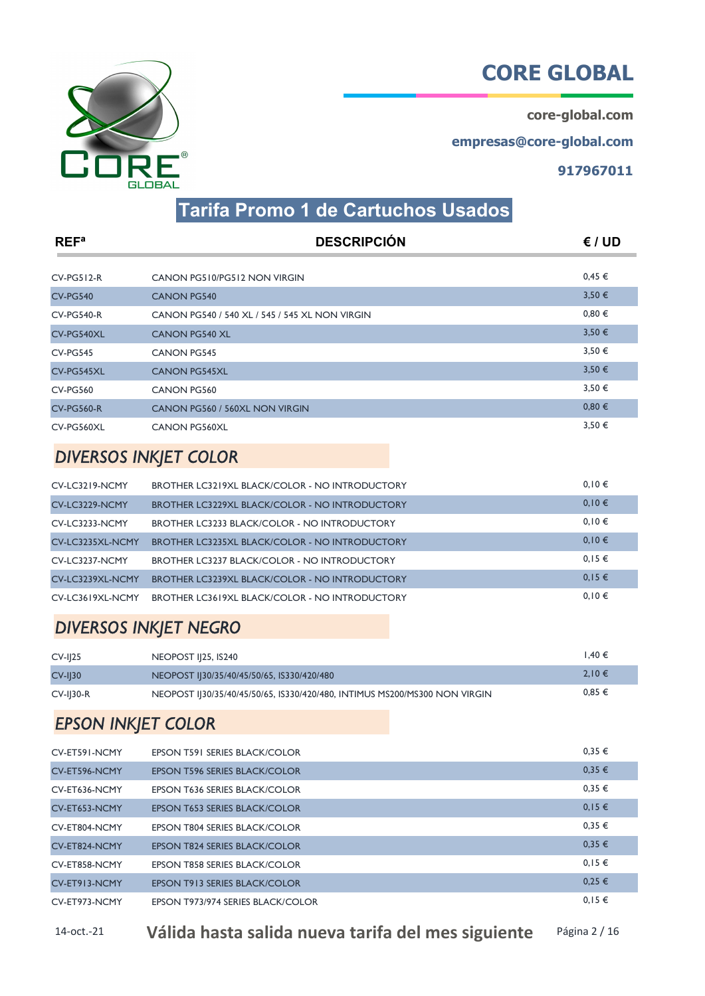core-global.com

empresas@core-global.com

917967011



# Tarifa Promo 1 de Cartuchos Usados

| REF <sup>a</sup>  | <b>DESCRIPCIÓN</b>                             | € / UD     |
|-------------------|------------------------------------------------|------------|
|                   |                                                |            |
| $CV-PG512-R$      | CANON PG510/PG512 NON VIRGIN                   | $0,45 \in$ |
| <b>CV-PG540</b>   | <b>CANON PG540</b>                             | 3,50€      |
| <b>CV-PG540-R</b> | CANON PG540 / 540 XL / 545 / 545 XL NON VIRGIN | 0,80€      |
| CV-PG540XL        | <b>CANON PG540 XL</b>                          | 3,50€      |
| <b>CV-PG545</b>   | <b>CANON PG545</b>                             | 3,50€      |
| CV-PG545XL        | <b>CANON PG545XL</b>                           | 3,50€      |
| <b>CV-PG560</b>   | <b>CANON PG560</b>                             | 3,50€      |
| <b>CV-PG560-R</b> | CANON PG560 / 560XL NON VIRGIN                 | 0,80€      |
| CV-PG560XL        | <b>CANON PG560XL</b>                           | 3,50€      |

#### DIVERSOS INKJET COLOR

| CV-LC3219-NCMY   | BROTHER LC3219XL BLACK/COLOR - NO INTRODUCTORY        | 0.10€      |
|------------------|-------------------------------------------------------|------------|
| CV-LC3229-NCMY   | <b>BROTHER LC3229XL BLACK/COLOR - NO INTRODUCTORY</b> | 0,10€      |
| CV-LC3233-NCMY   | <b>BROTHER LC3233 BLACK/COLOR - NO INTRODUCTORY</b>   | 0.10€      |
| CV-LC3235XL-NCMY | <b>BROTHER LC3235XL BLACK/COLOR - NO INTRODUCTORY</b> | 0,10€      |
| CV-LC3237-NCMY   | <b>BROTHER LC3237 BLACK/COLOR - NO INTRODUCTORY</b>   | $0,15 \in$ |
| CV-LC3239XL-NCMY | BROTHER LC3239XL BLACK/COLOR - NO INTRODUCTORY        | $0.15 \in$ |
| CV-LC3619XL-NCMY | <b>BROTHER LC3619XL BLACK/COLOR - NO INTRODUCTORY</b> | $0,10 \in$ |

#### DIVERSOS INKJET NEGRO

| $CV-I125$   | <b>NEOPOST II25, IS240</b>                                                 | $1.40 \in$ |
|-------------|----------------------------------------------------------------------------|------------|
| $CV-I$ $30$ | NEOPOST IJ30/35/40/45/50/65, IS330/420/480                                 | 2.10 €     |
| $CV-I$ 30-R | NEOPOST IJ30/35/40/45/50/65, IS330/420/480, INTIMUS MS200/MS300 NON VIRGIN | $0.85 \in$ |

#### EPSON INKJET COLOR

| CV-ET591-NCMY | <b>EPSON T591 SERIES BLACK/COLOR</b> | $0.35 \in$ |
|---------------|--------------------------------------|------------|
| CV-ET596-NCMY | <b>EPSON T596 SERIES BLACK/COLOR</b> | 0,35€      |
| CV-ET636-NCMY | <b>EPSON T636 SERIES BLACK/COLOR</b> | 0,35€      |
| CV-ET653-NCMY | <b>EPSON T653 SERIES BLACK/COLOR</b> | $0,15 \in$ |
| CV-ET804-NCMY | EPSON T804 SERIES BLACK/COLOR        | 0,35€      |
| CV-ET824-NCMY | <b>EPSON T824 SERIES BLACK/COLOR</b> | 0.35€      |
| CV-ET858-NCMY | EPSON T858 SERIES BLACK/COLOR        | $0,15 \in$ |
| CV-ET913-NCMY | <b>EPSON T913 SERIES BLACK/COLOR</b> | $0,25 \in$ |
| CV-ET973-NCMY | EPSON T973/974 SERIES BLACK/COLOR    | $0,15 \in$ |

14-oct.-21 Válida hasta salida nueva tarifa del mes siguiente Página 2/16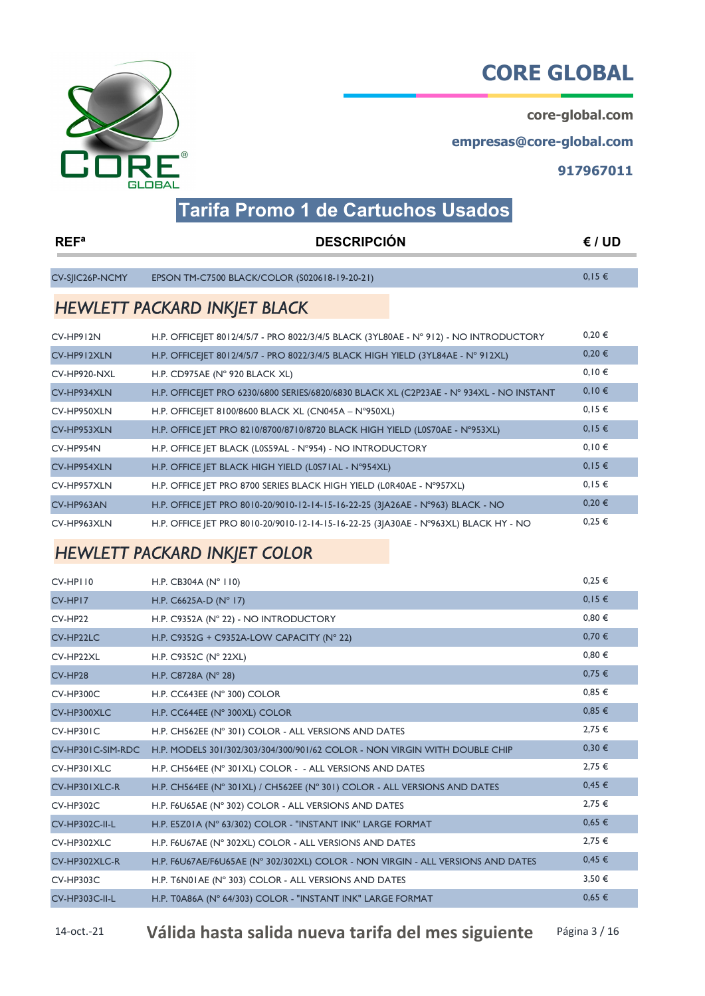core-global.com

empresas@core-global.com

917967011



# Tarifa Promo 1 de Cartuchos Usados

| REF <sup>a</sup> | <b>DESCRIPCIÓN</b>                                                                      | E / UD     |
|------------------|-----------------------------------------------------------------------------------------|------------|
|                  |                                                                                         |            |
| CV-SIIC26P-NCMY  | EPSON TM-C7500 BLACK/COLOR (S020618-19-20-21)                                           | $0,15 \in$ |
|                  | <b>HEWLETT PACKARD INKJET BLACK</b>                                                     |            |
| CV-HP912N        | H.P. OFFICE ET 8012/4/5/7 - PRO 8022/3/4/5 BLACK (3YL80AE - N° 912) - NO INTRODUCTORY   | 0,20€      |
| CV-HP912XLN      | H.P. OFFICEJET 8012/4/5/7 - PRO 8022/3/4/5 BLACK HIGH YIELD (3YL84AE - N° 912XL)        | $0,20 \in$ |
| CV-HP920-NXL     | H.P. CD975AE ( $N^{\circ}$ 920 BLACK XL)                                                | 0,10€      |
| CV-HP934XLN      | H.P. OFFICE ET PRO 6230/6800 SERIES/6820/6830 BLACK XL (C2P23AE - N° 934XL - NO INSTANT | $0,10 \in$ |
| CV-HP950XLN      | H.P. OFFICE ET 8100/8600 BLACK XL (CN045A - N°950XL)                                    | 0,15€      |
| CV-HP953XLN      | H.P. OFFICE JET PRO 8210/8700/8710/8720 BLACK HIGH YIELD (L0S70AE - N°953XL)            | $0,15 \in$ |
| CV-HP954N        | H.P. OFFICE JET BLACK (L0S59AL - N°954) - NO INTRODUCTORY                               | 0,10€      |
| CV-HP954XLN      | H.P. OFFICE JET BLACK HIGH YIELD (L0S71AL - N°954XL)                                    | $0,15 \in$ |
| CV-HP957XLN      | H.P. OFFICE JET PRO 8700 SERIES BLACK HIGH YIELD (L0R40AE - N°957XL)                    | $0,15 \in$ |
| CV-HP963AN       | H.P. OFFICE JET PRO 8010-20/9010-12-14-15-16-22-25 (3JA26AE - N°963) BLACK - NO         | 0,20€      |
| CV-HP963XLN      | H.P. OFFICE JET PRO 8010-20/9010-12-14-15-16-22-25 (3JA30AE - N°963XL) BLACK HY - NO    | $0,25 \in$ |

# HEWLETT PACKARD INKJET COLOR

| CV-HPII0              | H.P. CB304A ( $N^{\circ}$ 110)                                                  | $0.25 \in$ |
|-----------------------|---------------------------------------------------------------------------------|------------|
| CV-HP17               | H.P. $C6625A-D (N° 17)$                                                         | $0,15 \in$ |
| CV-HP22               | H.P. C9352A (N° 22) - NO INTRODUCTORY                                           | 0,80€      |
| CV-HP22LC             | H.P. C9352G + C9352A-LOW CAPACITY (N° 22)                                       | 0,70€      |
| CV-HP22XL             | H.P. C9352C ( $N^{\circ}$ 22XL)                                                 | 0.80€      |
| CV-HP28               | H.P. C8728A ( $N^{\circ}$ 28)                                                   | 0,75€      |
| CV-HP300C             | H.P. CC643EE (N° 300) COLOR                                                     | 0,85€      |
| CV-HP300XLC           | H.P. CC644EE (N° 300XL) COLOR                                                   | $0,85 \in$ |
| CV-HP301C             | H.P. CH562EE (N° 301) COLOR - ALL VERSIONS AND DATES                            | $2,75 \in$ |
| CV-HP301C-SIM-RDC     | H.P. MODELS 301/302/303/304/300/901/62 COLOR - NON VIRGIN WITH DOUBLE CHIP      | 0,30€      |
| CV-HP301XLC           | H.P. CH564EE (N° 301XL) COLOR - - ALL VERSIONS AND DATES                        | $2,75 \in$ |
| CV-HP301XLC-R         | H.P. CH564EE (N° 301XL) / CH562EE (N° 301) COLOR - ALL VERSIONS AND DATES       | 0,45€      |
| <b>CV-HP302C</b>      | H.P. F6U65AE (N° 302) COLOR - ALL VERSIONS AND DATES                            | $2,75 \in$ |
| <b>CV-HP302C-II-L</b> | H.P. E5Z01A (N° 63/302) COLOR - "INSTANT INK" LARGE FORMAT                      | $0,65 \in$ |
| CV-HP302XLC           | H.P. F6U67AE (N° 302XL) COLOR - ALL VERSIONS AND DATES                          | $2,75 \in$ |
| CV-HP302XLC-R         | H.P. F6U67AE/F6U65AE (N° 302/302XL) COLOR - NON VIRGIN - ALL VERSIONS AND DATES | 0,45€      |
| <b>CV-HP303C</b>      | H.P. T6N01AE (N° 303) COLOR - ALL VERSIONS AND DATES                            | 3,50€      |
| <b>CV-HP303C-II-L</b> | H.P. T0A86A (N° 64/303) COLOR - "INSTANT INK" LARGE FORMAT                      | $0.65 \in$ |

14-oct.-21 Válida hasta salida nueva tarifa del mes siguiente Página 3/16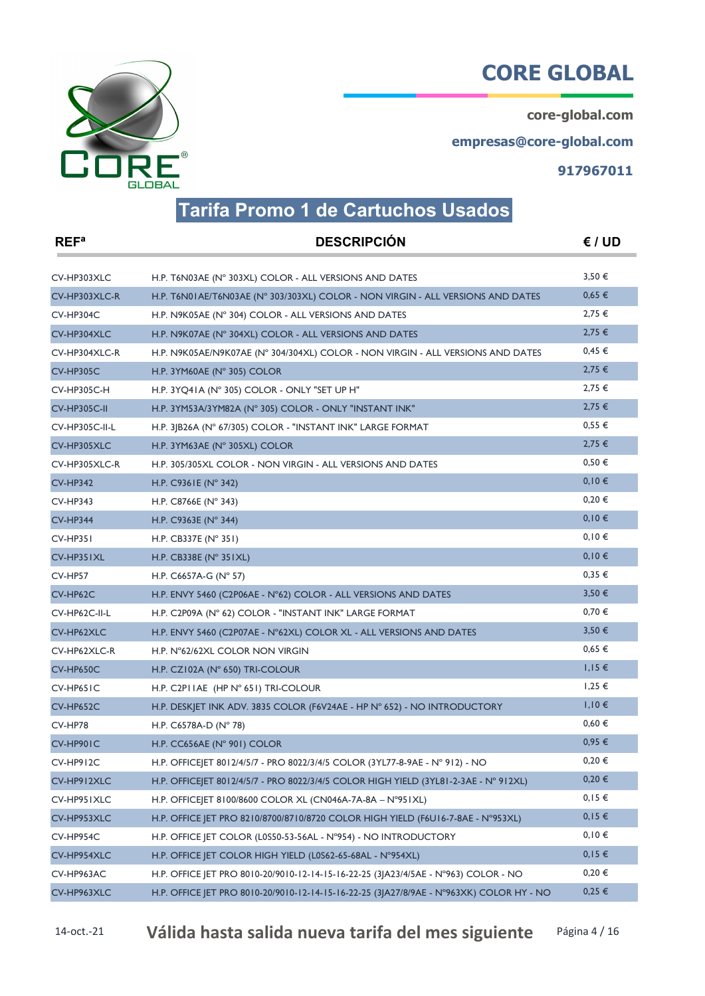core-global.com

empresas@core-global.com

917967011



#### Tarifa Promo 1 de Cartuchos Usados

| REF <sup>a</sup>   | <b>DESCRIPCIÓN</b>                                                                       | E / UD     |
|--------------------|------------------------------------------------------------------------------------------|------------|
| CV-HP303XLC        | H.P. T6N03AE (N° 303XL) COLOR - ALL VERSIONS AND DATES                                   | 3,50€      |
| CV-HP303XLC-R      | H.P. T6N01AE/T6N03AE (N° 303/303XL) COLOR - NON VIRGIN - ALL VERSIONS AND DATES          | 0,65€      |
| CV-HP304C          | H.P. N9K05AE (N° 304) COLOR - ALL VERSIONS AND DATES                                     | $2,75 \in$ |
| CV-HP304XLC        | H.P. N9K07AE (N° 304XL) COLOR - ALL VERSIONS AND DATES                                   | $2,75 \in$ |
| CV-HP304XLC-R      | H.P. N9K05AE/N9K07AE (N° 304/304XL) COLOR - NON VIRGIN - ALL VERSIONS AND DATES          | 0,45€      |
| <b>CV-HP305C</b>   | H.P. 3YM60AE (N° 305) COLOR                                                              | 2,75€      |
| <b>CV-HP305C-H</b> | H.P. 3YQ41A (N° 305) COLOR - ONLY "SET UP H"                                             | $2,75 \in$ |
| CV-HP305C-II       | H.P. 3YM53A/3YM82A (N° 305) COLOR - ONLY "INSTANT INK"                                   | $2,75 \in$ |
| CV-HP305C-II-L     | H.P. 31B26A (N° 67/305) COLOR - "INSTANT INK" LARGE FORMAT                               | $0,55 \in$ |
| CV-HP305XLC        | H.P. 3YM63AE (N° 305XL) COLOR                                                            | 2,75€      |
| CV-HP305XLC-R      | H.P. 305/305XL COLOR - NON VIRGIN - ALL VERSIONS AND DATES                               | 0,50€      |
| <b>CV-HP342</b>    | H.P. C9361E ( $N^{\circ}$ 342)                                                           | 0,10€      |
| <b>CV-HP343</b>    | H.P. C8766E (N° 343)                                                                     | $0,20 \in$ |
| <b>CV-HP344</b>    | H.P. C9363E (N° 344)                                                                     | $0,10 \in$ |
| $CV-HP35I$         | H.P. CB337E ( $N^{\circ}$ 351)                                                           | $0,10 \in$ |
| CV-HP351XL         | H.P. CB338E (N° 351XL)                                                                   | $0,10 \in$ |
| CV-HP57            | H.P. C6657A-G (N° 57)                                                                    | 0,35€      |
| CV-HP62C           | H.P. ENVY 5460 (C2P06AE - N°62) COLOR - ALL VERSIONS AND DATES                           | 3,50€      |
| CV-HP62C-II-L      | H.P. C2P09A (N° 62) COLOR - "INSTANT INK" LARGE FORMAT                                   | $0,70 \in$ |
| CV-HP62XLC         | H.P. ENVY 5460 (C2P07AE - N°62XL) COLOR XL - ALL VERSIONS AND DATES                      | 3,50€      |
| CV-HP62XLC-R       | H.P. N°62/62XL COLOR NON VIRGIN                                                          | $0,65 \in$ |
| CV-HP650C          | H.P. CZI02A ( $N^{\circ}$ 650) TRI-COLOUR                                                | $1,15 \in$ |
| CV-HP651C          | H.P. C2PI IAE (HP N° 651) TRI-COLOUR                                                     | $1,25 \in$ |
| CV-HP652C          | H.P. DESKJET INK ADV. 3835 COLOR (F6V24AE - HP N° 652) - NO INTRODUCTORY                 | $1,10 \in$ |
| CV-HP78            | H.P. C6578A-D ( $N^{\circ}$ 78)                                                          | $0,60 \in$ |
| CV-HP90IC          | H.P. CC656AE (N° 901) COLOR                                                              | $0,95 \in$ |
| CV-HP912C          | H.P. OFFICEJET 8012/4/5/7 - PRO 8022/3/4/5 COLOR (3YL77-8-9AE - N° 912) - NO             | $0,20 \in$ |
| CV-HP912XLC        | H.P. OFFICEJET 8012/4/5/7 - PRO 8022/3/4/5 COLOR HIGH YIELD (3YL81-2-3AE - N° 912XL)     | $0,20 \in$ |
| CV-HP951XLC        | H.P. OFFICE ET 8100/8600 COLOR XL (CN046A-7A-8A - N°951XL)                               | $0,15 \in$ |
| CV-HP953XLC        | H.P. OFFICE JET PRO 8210/8700/8710/8720 COLOR HIGH YIELD (F6U16-7-8AE - N°953XL)         | $0,15 \in$ |
| CV-HP954C          | H.P. OFFICE JET COLOR (L0S50-53-56AL - N°954) - NO INTRODUCTORY                          | 0,10€      |
| CV-HP954XLC        | H.P. OFFICE JET COLOR HIGH YIELD (L0S62-65-68AL - N°954XL)                               | $0,15 \in$ |
| CV-HP963AC         | H.P. OFFICE JET PRO 8010-20/9010-12-14-15-16-22-25 (3JA23/4/5AE - N°963) COLOR - NO      | $0,20 \in$ |
| CV-HP963XLC        | H.P. OFFICE JET PRO 8010-20/9010-12-14-15-16-22-25 (3JA27/8/9AE - N°963XK) COLOR HY - NO | 0,25€      |

14-oct.-21 Válida hasta salida nueva tarifa del mes siguiente Página 4/16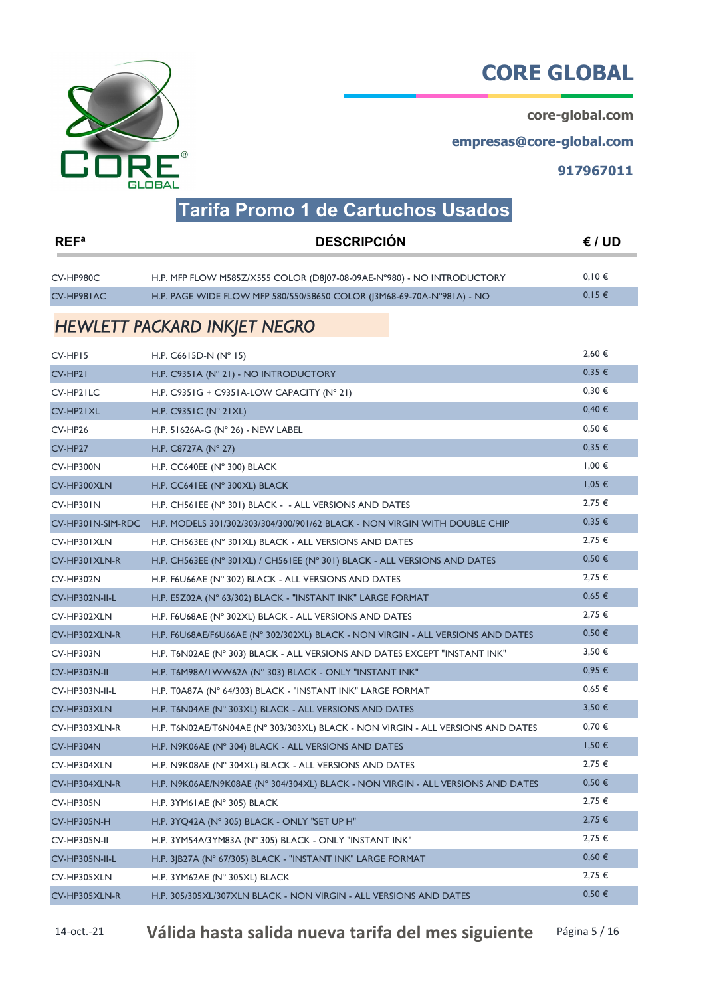core-global.com

empresas@core-global.com

917967011



### Tarifa Promo 1 de Cartuchos Usados

| REF <sup>a</sup>   | <b>DESCRIPCIÓN</b>                                                              | E / UD     |
|--------------------|---------------------------------------------------------------------------------|------------|
| CV-HP980C          | H.P. MFP FLOW M585Z/X555 COLOR (D8J07-08-09AE-N°980) - NO INTRODUCTORY          | 0,10€      |
| CV-HP981AC         | H.P. PAGE WIDE FLOW MFP 580/550/58650 COLOR (13M68-69-70A-N°981A) - NO          | $0,15 \in$ |
|                    | <b>HEWLETT PACKARD INKJET NEGRO</b>                                             |            |
| CV-HP15            | H.P. $C6615D-N (N°15)$                                                          | 2,60€      |
| CV-HP21            | H.P. C9351A (N° 21) - NO INTRODUCTORY                                           | 0.35€      |
| CV-HP21LC          | H.P. C9351G + C9351A-LOW CAPACITY (N° 21)                                       | 0,30€      |
| CV-HP21XL          | H.P. C9351C ( $N^{\circ}$ 21XL)                                                 | 0,40€      |
| CV-HP26            | H.P. 51626A-G ( $N^{\circ}$ 26) - NEW LABEL                                     | $0,50 \in$ |
| CV-HP27            | H.P. C8727A ( $N^{\circ}$ 27)                                                   | 0,35€      |
| CV-HP300N          | H.P. CC640EE (N° 300) BLACK                                                     | $1,00 \in$ |
| CV-HP300XLN        | H.P. CC641EE (N° 300XL) BLACK                                                   | $1,05 \in$ |
| CV-HP301N          | H.P. CH561EE (N° 301) BLACK - - ALL VERSIONS AND DATES                          | 2,75 €     |
| CV-HP301N-SIM-RDC  | H.P. MODELS 301/302/303/304/300/901/62 BLACK - NON VIRGIN WITH DOUBLE CHIP      | 0,35€      |
| CV-HP301XLN        | H.P. CH563EE (N° 301XL) BLACK - ALL VERSIONS AND DATES                          | $2,75 \in$ |
| CV-HP301XLN-R      | H.P. CH563EE (N° 301XL) / CH561EE (N° 301) BLACK - ALL VERSIONS AND DATES       | 0,50€      |
| CV-HP302N          | H.P. F6U66AE (N° 302) BLACK - ALL VERSIONS AND DATES                            | $2,75 \in$ |
| CV-HP302N-II-L     | H.P. E5Z02A (N° 63/302) BLACK - "INSTANT INK" LARGE FORMAT                      | $0,65 \in$ |
| CV-HP302XLN        | H.P. F6U68AE (N° 302XL) BLACK - ALL VERSIONS AND DATES                          | 2,75 €     |
| CV-HP302XLN-R      | H.P. F6U68AE/F6U66AE (N° 302/302XL) BLACK - NON VIRGIN - ALL VERSIONS AND DATES | $0,50 \in$ |
| <b>CV-HP303N</b>   | H.P. T6N02AE (N° 303) BLACK - ALL VERSIONS AND DATES EXCEPT "INSTANT INK"       | 3,50€      |
| CV-HP303N-II       | H.P. T6M98A/IWW62A (N° 303) BLACK - ONLY "INSTANT INK"                          | $0,95 \in$ |
| CV-HP303N-II-L     | H.P. T0A87A (N° 64/303) BLACK - "INSTANT INK" LARGE FORMAT                      | $0,65 \in$ |
| CV-HP303XLN        | H.P. T6N04AE (N° 303XL) BLACK - ALL VERSIONS AND DATES                          | 3,50€      |
| CV-HP303XLN-R      | H.P. T6N02AE/T6N04AE (N° 303/303XL) BLACK - NON VIRGIN - ALL VERSIONS AND DATES | $0,70 \in$ |
| CV-HP304N          | H.P. N9K06AE (N° 304) BLACK - ALL VERSIONS AND DATES                            | $1,50 \in$ |
| CV-HP304XLN        | H.P. N9K08AE (N° 304XL) BLACK - ALL VERSIONS AND DATES                          | 2,75 €     |
| CV-HP304XLN-R      | H.P. N9K06AE/N9K08AE (N° 304/304XL) BLACK - NON VIRGIN - ALL VERSIONS AND DATES | $0,50 \in$ |
| CV-HP305N          | H.P. $3YM6IAE$ (N° 305) BLACK                                                   | $2,75 \in$ |
| <b>CV-HP305N-H</b> | H.P. 3YQ42A (N° 305) BLACK - ONLY "SET UP H"                                    | $2,75 \in$ |
| CV-HP305N-II       | H.P. 3YM54A/3YM83A (N° 305) BLACK - ONLY "INSTANT INK"                          | $2,75 \in$ |
| CV-HP305N-II-L     | H.P. 3JB27A (N° 67/305) BLACK - "INSTANT INK" LARGE FORMAT                      | 0,60€      |
| CV-HP305XLN        | H.P. 3YM62AE (N° 305XL) BLACK                                                   | $2,75 \in$ |
| CV-HP305XLN-R      | H.P. 305/305XL/307XLN BLACK - NON VIRGIN - ALL VERSIONS AND DATES               | 0,50€      |

14-oct.-21 Válida hasta salida nueva tarifa del mes siguiente Página 5/16